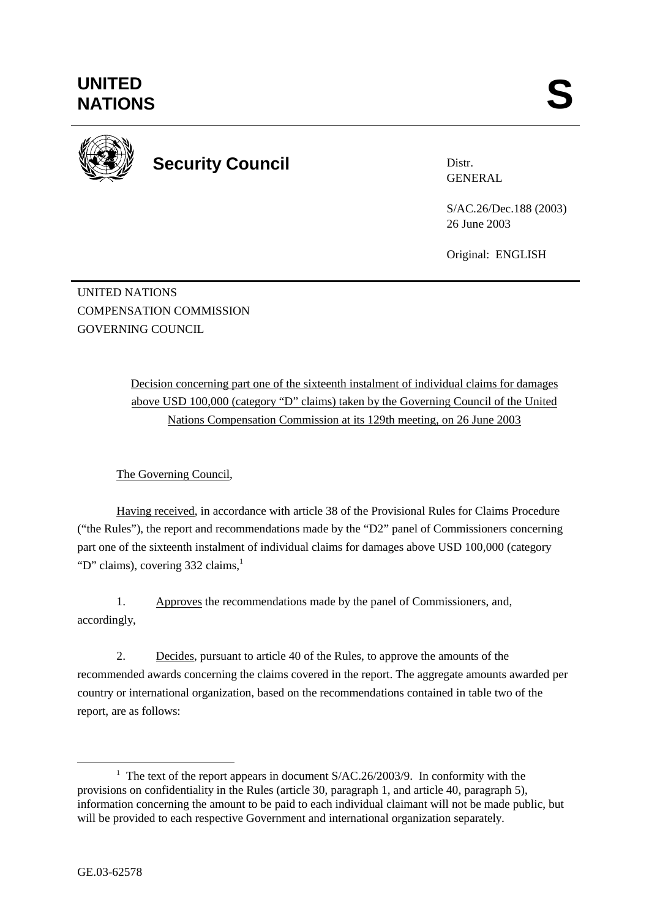

**Security Council** 

Distr. GENERAL

S/AC.26/Dec.188 (2003) 26 June 2003

Original: ENGLISH

UNITED NATIONS COMPENSATION COMMISSION GOVERNING COUNCIL

> Decision concerning part one of the sixteenth instalment of individual claims for damages above USD 100,000 (category "D" claims) taken by the Governing Council of the United Nations Compensation Commission at its 129th meeting, on 26 June 2003

The Governing Council,

Having received, in accordance with article 38 of the Provisional Rules for Claims Procedure ("the Rules"), the report and recommendations made by the "D2" panel of Commissioners concerning part one of the sixteenth instalment of individual claims for damages above USD 100,000 (category "D" claims), covering  $332$  claims,<sup>1</sup>

1. Approves the recommendations made by the panel of Commissioners, and, accordingly,

2. Decides, pursuant to article 40 of the Rules, to approve the amounts of the recommended awards concerning the claims covered in the report. The aggregate amounts awarded per country or international organization, based on the recommendations contained in table two of the report, are as follows:

<sup>&</sup>lt;u>1</u> <sup>1</sup> The text of the report appears in document  $S/AC.26/2003/9$ . In conformity with the provisions on confidentiality in the Rules (article 30, paragraph 1, and article 40, paragraph 5), information concerning the amount to be paid to each individual claimant will not be made public, but will be provided to each respective Government and international organization separately.